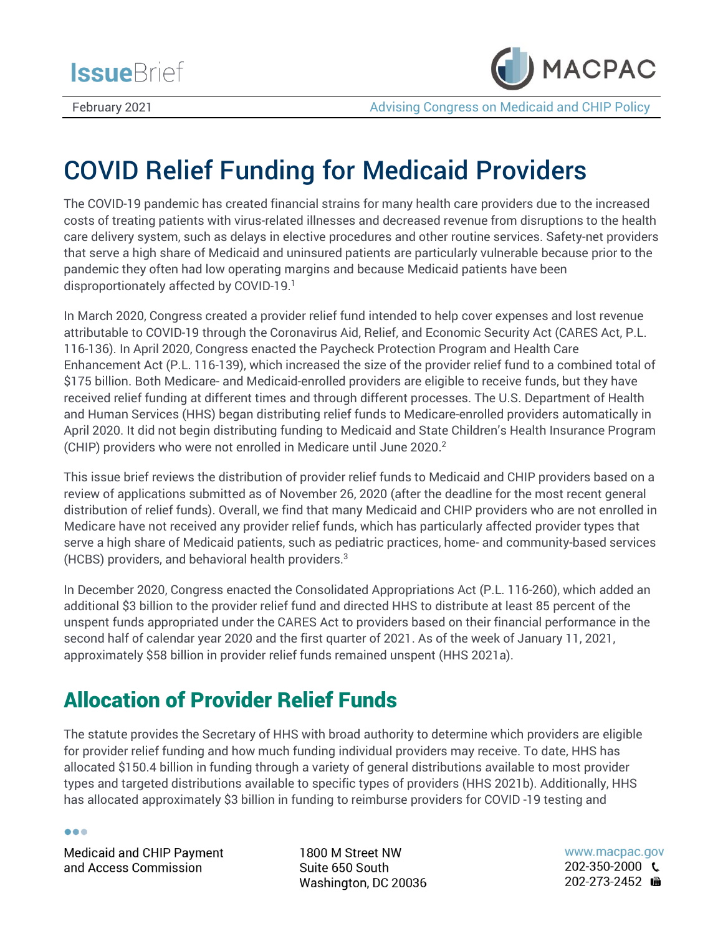



February 2021 **Advising Congress on Medicaid and CHIP Policy Advising Congress on Medicaid and CHIP Policy** 

# COVID Relief Funding for Medicaid Providers

The COVID-19 pandemic has created financial strains for many health care providers due to the increased costs of treating patients with virus-related illnesses and decreased revenue from disruptions to the health care delivery system, such as delays in elective procedures and other routine services. Safety-net providers that serve a high share of Medicaid and uninsured patients are particularly vulnerable because prior to the pandemic they often had low operating margins and because Medicaid patients have been disproportionately affected by COVID-19. 1

In March 2020, Congress created a provider relief fund intended to help cover expenses and lost revenue attributable to COVID-19 through the Coronavirus Aid, Relief, and Economic Security Act (CARES Act, P.L. 116-136). In April 2020, Congress enacted the Paycheck Protection Program and Health Care Enhancement Act (P.L. 116-139), which increased the size of the provider relief fund to a combined total of \$175 billion. Both Medicare- and Medicaid-enrolled providers are eligible to receive funds, but they have received relief funding at different times and through different processes. The U.S. Department of Health and Human Services (HHS) began distributing relief funds to Medicare-enrolled providers automatically in April 2020. It did not begin distributing funding to Medicaid and State Children's Health Insurance Program (CHIP) providers who were not enrolled in Medicare until June 2020.<sup>2</sup>

This issue brief reviews the distribution of provider relief funds to Medicaid and CHIP providers based on a review of applications submitted as of November 26, 2020 (after the deadline for the most recent general distribution of relief funds). Overall, we find that many Medicaid and CHIP providers who are not enrolled in Medicare have not received any provider relief funds, which has particularly affected provider types that serve a high share of Medicaid patients, such as pediatric practices, home- and community-based services (HCBS) providers, and behavioral health providers.<sup>3</sup>

In December 2020, Congress enacted the Consolidated Appropriations Act (P.L. 116-260), which added an additional \$3 billion to the provider relief fund and directed HHS to distribute at least 85 percent of the unspent funds appropriated under the CARES Act to providers based on their financial performance in the second half of calendar year 2020 and the first quarter of 2021. As of the week of January 11, 2021, approximately \$58 billion in provider relief funds remained unspent (HHS 2021a).

## Allocation of Provider Relief Funds

The statute provides the Secretary of HHS with broad authority to determine which providers are eligible for provider relief funding and how much funding individual providers may receive. To date, HHS has allocated \$150.4 billion in funding through a variety of general distributions available to most provider types and targeted distributions available to specific types of providers (HHS 2021b). Additionally, HHS has allocated approximately \$3 billion in funding to reimburse providers for COVID -19 testing and

...

**Medicaid and CHIP Payment** and Access Commission

1800 M Street NW Suite 650 South Washington, DC 20036 www.macpac.gov  $202 - 350 - 2000$ 202-273-2452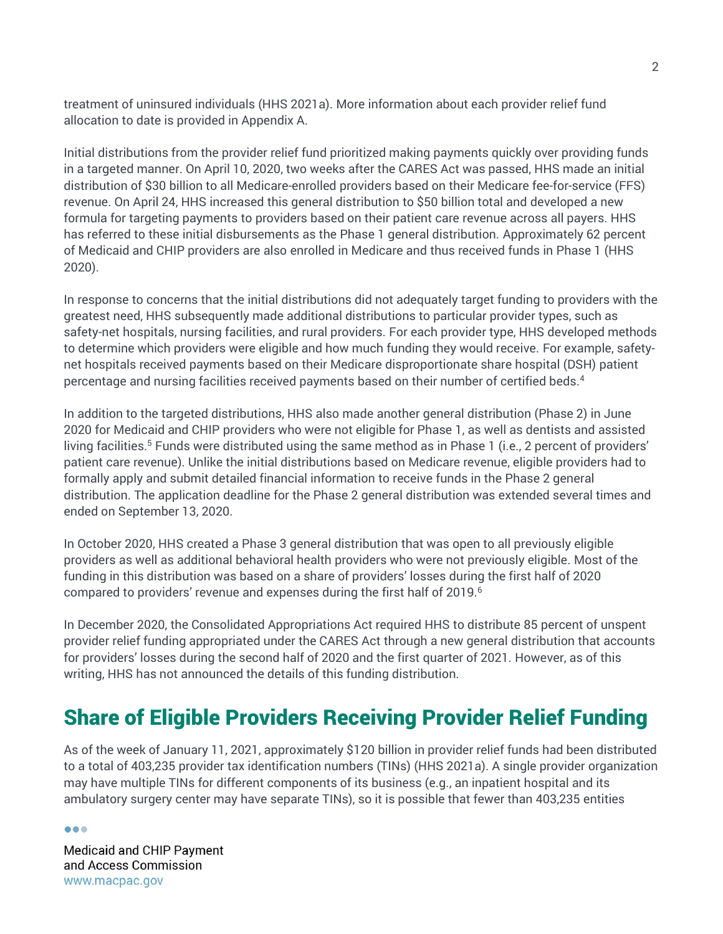treatment of uninsured individuals (HHS 2021a). More information about each provider relief fund allocation to date is provided in Appendix A.

Initial distributions from the provider relief fund prioritized making payments quickly over providing funds in a targeted manner. On April 10, 2020, two weeks after the CARES Act was passed, HHS made an initial distribution of \$30 billion to all Medicare-enrolled providers based on their Medicare fee-for-service (FFS) revenue. On April 24, HHS increased this general distribution to \$50 billion total and developed a new formula for targeting payments to providers based on their patient care revenue across all payers. HHS has referred to these initial disbursements as the Phase 1 general distribution. Approximately 62 percent of Medicaid and CHIP providers are also enrolled in Medicare and thus received funds in Phase 1 (HHS 2020).

In response to concerns that the initial distributions did not adequately target funding to providers with the greatest need, HHS subsequently made additional distributions to particular provider types, such as safety-net hospitals, nursing facilities, and rural providers. For each provider type, HHS developed methods to determine which providers were eligible and how much funding they would receive. For example, safetynet hospitals received payments based on their Medicare disproportionate share hospital (DSH) patient percentage and nursing facilities received payments based on their number of certified beds.<sup>4</sup>

In addition to the targeted distributions, HHS also made another general distribution (Phase 2) in June 2020 for Medicaid and CHIP providers who were not eligible for Phase 1, as well as dentists and assisted living facilities. <sup>5</sup> Funds were distributed using the same method as in Phase 1 (i.e., 2 percent of providers' patient care revenue). Unlike the initial distributions based on Medicare revenue, eligible providers had to formally apply and submit detailed financial information to receive funds in the Phase 2 general distribution. The application deadline for the Phase 2 general distribution was extended several times and ended on September 13, 2020.

In October 2020, HHS created a Phase 3 general distribution that was open to all previously eligible providers as well as additional behavioral health providers who were not previously eligible. Most of the funding in this distribution was based on a share of providers' losses during the first half of 2020 compared to providers' revenue and expenses during the first half of 2019.<sup>6</sup>

In December 2020, the Consolidated Appropriations Act required HHS to distribute 85 percent of unspent provider relief funding appropriated under the CARES Act through a new general distribution that accounts for providers' losses during the second half of 2020 and the first quarter of 2021. However, as of this writing, HHS has not announced the details of this funding distribution.

## Share of Eligible Providers Receiving Provider Relief Funding

As of the week of January 11, 2021, approximately \$120 billion in provider relief funds had been distributed to a total of 403,235 provider tax identification numbers (TINs) (HHS 2021a). A single provider organization may have multiple TINs for different components of its business (e.g., an inpatient hospital and its ambulatory surgery center may have separate TINs), so it is possible that fewer than 403,235 entities

 $\bullet\bullet\bullet$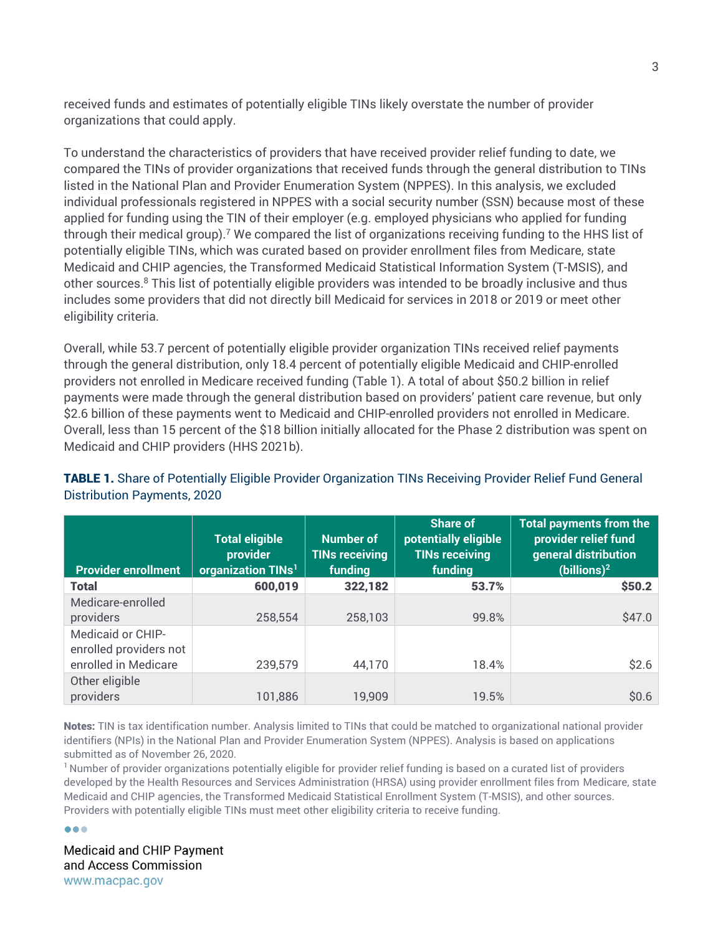received funds and estimates of potentially eligible TINs likely overstate the number of provider organizations that could apply.

To understand the characteristics of providers that have received provider relief funding to date, we compared the TINs of provider organizations that received funds through the general distribution to TINs listed in the National Plan and Provider Enumeration System (NPPES). In this analysis, we excluded individual professionals registered in NPPES with a social security number (SSN) because most of these applied for funding using the TIN of their employer (e.g. employed physicians who applied for funding through their medical group). <sup>7</sup> We compared the list of organizations receiving funding to the HHS list of potentially eligible TINs, which was curated based on provider enrollment files from Medicare, state Medicaid and CHIP agencies, the Transformed Medicaid Statistical Information System (T-MSIS), and other sources. <sup>8</sup> This list of potentially eligible providers was intended to be broadly inclusive and thus includes some providers that did not directly bill Medicaid for services in 2018 or 2019 or meet other eligibility criteria.

Overall, while 53.7 percent of potentially eligible provider organization TINs received relief payments through the general distribution, only 18.4 percent of potentially eligible Medicaid and CHIP-enrolled providers not enrolled in Medicare received funding (Table 1). A total of about \$50.2 billion in relief payments were made through the general distribution based on providers' patient care revenue, but only \$2.6 billion of these payments went to Medicaid and CHIP-enrolled providers not enrolled in Medicare. Overall, less than 15 percent of the \$18 billion initially allocated for the Phase 2 distribution was spent on Medicaid and CHIP providers (HHS 2021b).

| <b>Provider enrollment</b>                  | <b>Total eligible</b><br>provider<br>organization TINs <sup>1</sup> | <b>Number of</b><br><b>TINs receiving</b><br>funding | <b>Share of</b><br>potentially eligible<br><b>TINs receiving</b><br>funding | <b>Total payments from the</b><br>provider relief fund<br>general distribution<br>$(billions)^2$ |
|---------------------------------------------|---------------------------------------------------------------------|------------------------------------------------------|-----------------------------------------------------------------------------|--------------------------------------------------------------------------------------------------|
| <b>Total</b>                                | 600,019                                                             | 322,182                                              | 53.7%                                                                       | \$50.2\$                                                                                         |
| Medicare-enrolled                           |                                                                     |                                                      |                                                                             |                                                                                                  |
| providers                                   | 258,554                                                             | 258,103                                              | 99.8%                                                                       | \$47.0                                                                                           |
| Medicaid or CHIP-<br>enrolled providers not |                                                                     |                                                      |                                                                             |                                                                                                  |
| enrolled in Medicare                        | 239,579                                                             | 44,170                                               | 18.4%                                                                       | \$2.6                                                                                            |
| Other eligible                              |                                                                     |                                                      |                                                                             |                                                                                                  |
| providers                                   | 101,886                                                             | 19,909                                               | 19.5%                                                                       | \$0.6\$                                                                                          |

### TABLE 1. Share of Potentially Eligible Provider Organization TINs Receiving Provider Relief Fund General Distribution Payments, 2020

Notes: TIN is tax identification number. Analysis limited to TINs that could be matched to organizational national provider identifiers (NPIs) in the National Plan and Provider Enumeration System (NPPES). Analysis is based on applications submitted as of November 26, 2020.

<sup>1</sup> Number of provider organizations potentially eligible for provider relief funding is based on a curated list of providers developed by the Health Resources and Services Administration (HRSA) using provider enrollment files from Medicare, state Medicaid and CHIP agencies, the Transformed Medicaid Statistical Enrollment System (T-MSIS), and other sources. Providers with potentially eligible TINs must meet other eligibility criteria to receive funding.

 $\bullet\bullet\bullet$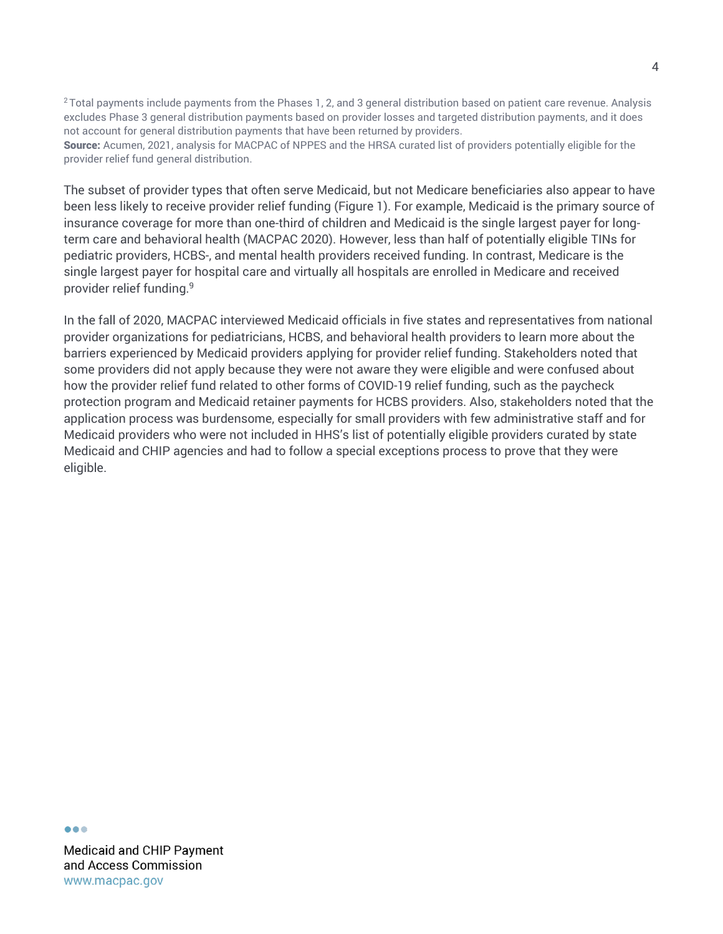$2$ Total payments include payments from the Phases 1, 2, and 3 general distribution based on patient care revenue. Analysis excludes Phase 3 general distribution payments based on provider losses and targeted distribution payments, and it does not account for general distribution payments that have been returned by providers. Source: Acumen, 2021, analysis for MACPAC of NPPES and the HRSA curated list of providers potentially eligible for the provider relief fund general distribution.

The subset of provider types that often serve Medicaid, but not Medicare beneficiaries also appear to have been less likely to receive provider relief funding (Figure 1). For example, Medicaid is the primary source of insurance coverage for more than one-third of children and Medicaid is the single largest payer for longterm care and behavioral health (MACPAC 2020). However, less than half of potentially eligible TINs for pediatric providers, HCBS-, and mental health providers received funding. In contrast, Medicare is the single largest payer for hospital care and virtually all hospitals are enrolled in Medicare and received provider relief funding.<sup>9</sup>

In the fall of 2020, MACPAC interviewed Medicaid officials in five states and representatives from national provider organizations for pediatricians, HCBS, and behavioral health providers to learn more about the barriers experienced by Medicaid providers applying for provider relief funding. Stakeholders noted that some providers did not apply because they were not aware they were eligible and were confused about how the provider relief fund related to other forms of COVID-19 relief funding, such as the paycheck protection program and Medicaid retainer payments for HCBS providers. Also, stakeholders noted that the application process was burdensome, especially for small providers with few administrative staff and for Medicaid providers who were not included in HHS's list of potentially eligible providers curated by state Medicaid and CHIP agencies and had to follow a special exceptions process to prove that they were eligible.

 $\bullet\bullet\bullet$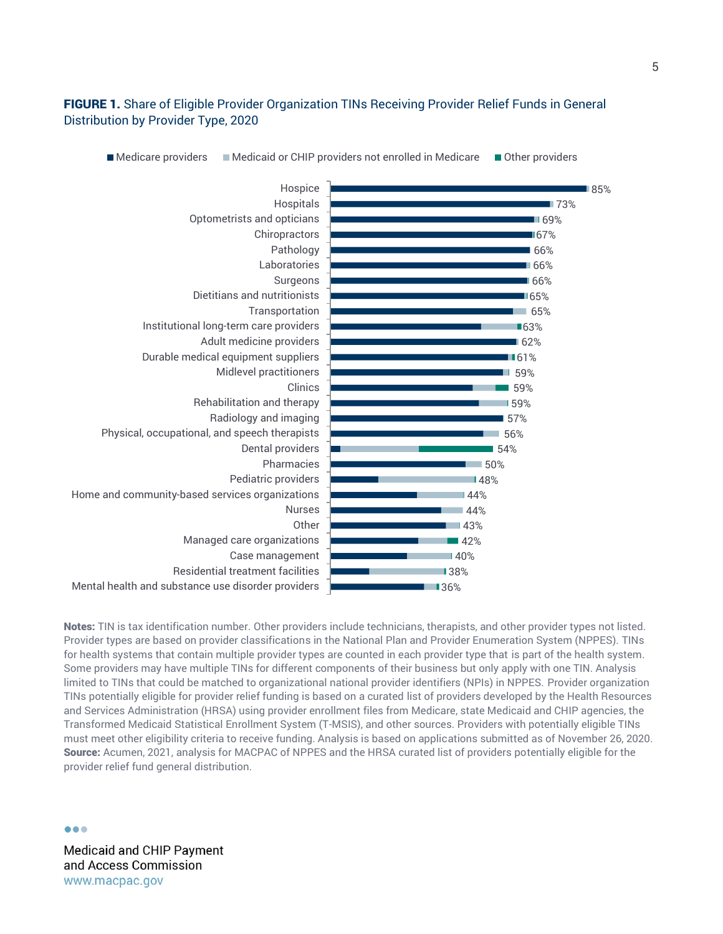### FIGURE 1. Share of Eligible Provider Organization TINs Receiving Provider Relief Funds in General Distribution by Provider Type, 2020



Notes: TIN is tax identification number. Other providers include technicians, therapists, and other provider types not listed. Provider types are based on provider classifications in the National Plan and Provider Enumeration System (NPPES). TINs for health systems that contain multiple provider types are counted in each provider type that is part of the health system. Some providers may have multiple TINs for different components of their business but only apply with one TIN. Analysis limited to TINs that could be matched to organizational national provider identifiers (NPIs) in NPPES. Provider organization TINs potentially eligible for provider relief funding is based on a curated list of providers developed by the Health Resources and Services Administration (HRSA) using provider enrollment files from Medicare, state Medicaid and CHIP agencies, the Transformed Medicaid Statistical Enrollment System (T-MSIS), and other sources. Providers with potentially eligible TINs must meet other eligibility criteria to receive funding. Analysis is based on applications submitted as of November 26, 2020. Source: Acumen, 2021, analysis for MACPAC of NPPES and the HRSA curated list of providers potentially eligible for the provider relief fund general distribution.

...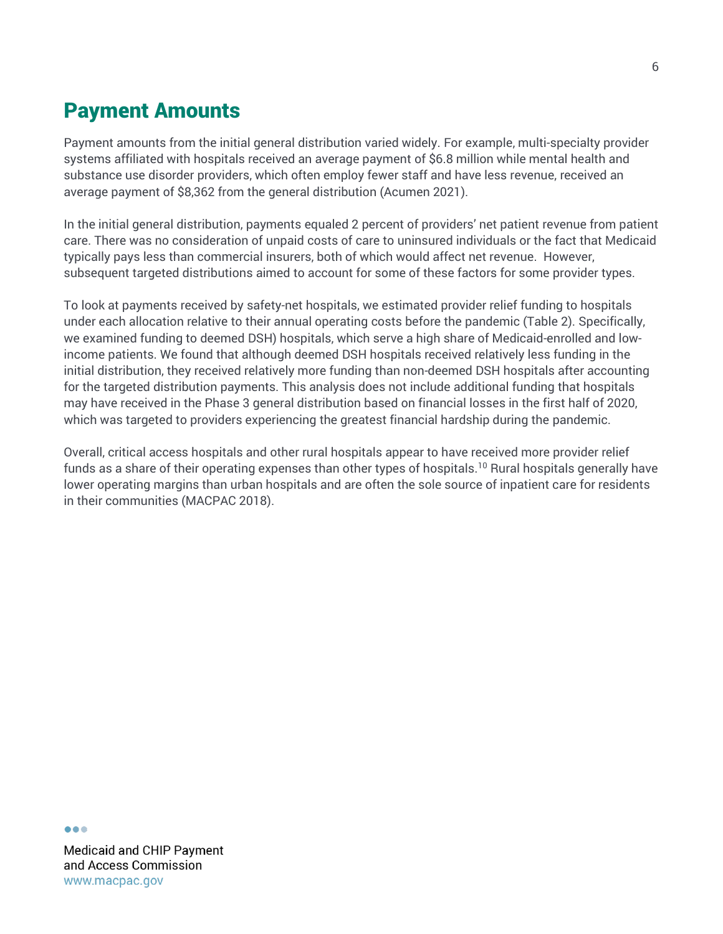## Payment Amounts

Payment amounts from the initial general distribution varied widely. For example, multi-specialty provider systems affiliated with hospitals received an average payment of \$6.8 million while mental health and substance use disorder providers, which often employ fewer staff and have less revenue, received an average payment of \$8,362 from the general distribution (Acumen 2021).

In the initial general distribution, payments equaled 2 percent of providers' net patient revenue from patient care. There was no consideration of unpaid costs of care to uninsured individuals or the fact that Medicaid typically pays less than commercial insurers, both of which would affect net revenue. However, subsequent targeted distributions aimed to account for some of these factors for some provider types.

To look at payments received by safety-net hospitals, we estimated provider relief funding to hospitals under each allocation relative to their annual operating costs before the pandemic (Table 2). Specifically, we examined funding to deemed DSH) hospitals, which serve a high share of Medicaid-enrolled and lowincome patients. We found that although deemed DSH hospitals received relatively less funding in the initial distribution, they received relatively more funding than non-deemed DSH hospitals after accounting for the targeted distribution payments. This analysis does not include additional funding that hospitals may have received in the Phase 3 general distribution based on financial losses in the first half of 2020, which was targeted to providers experiencing the greatest financial hardship during the pandemic.

Overall, critical access hospitals and other rural hospitals appear to have received more provider relief funds as a share of their operating expenses than other types of hospitals.<sup>10</sup> Rural hospitals generally have lower operating margins than urban hospitals and are often the sole source of inpatient care for residents in their communities (MACPAC 2018).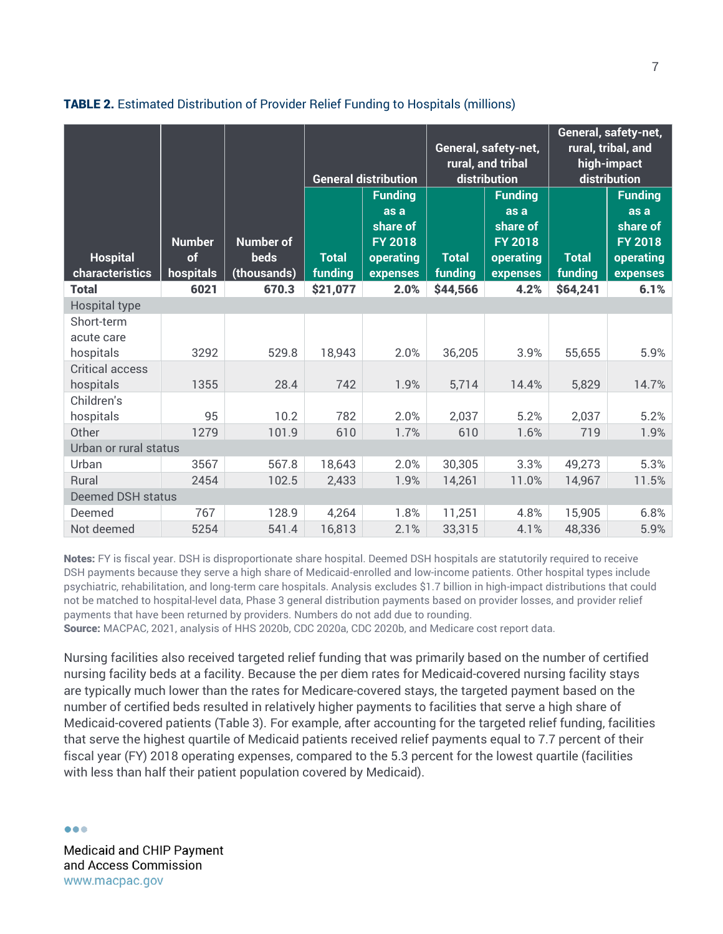|                                       |                                  |                                                | <b>General distribution</b> |                                                                               | General, safety-net,<br>rural, and tribal<br>distribution |                                                                               | General, safety-net,<br>rural, tribal, and<br>high-impact<br>distribution |                                                                               |
|---------------------------------------|----------------------------------|------------------------------------------------|-----------------------------|-------------------------------------------------------------------------------|-----------------------------------------------------------|-------------------------------------------------------------------------------|---------------------------------------------------------------------------|-------------------------------------------------------------------------------|
| <b>Hospital</b><br>characteristics    | <b>Number</b><br>of<br>hospitals | <b>Number of</b><br><b>beds</b><br>(thousands) | <b>Total</b><br>funding     | <b>Funding</b><br>as a<br>share of<br><b>FY 2018</b><br>operating<br>expenses | <b>Total</b><br>funding                                   | <b>Funding</b><br>as a<br>share of<br><b>FY 2018</b><br>operating<br>expenses | <b>Total</b><br>funding                                                   | <b>Funding</b><br>as a<br>share of<br><b>FY 2018</b><br>operating<br>expenses |
| <b>Total</b>                          | 6021                             | 670.3                                          | \$21,077                    | 2.0%                                                                          | \$44,566                                                  | 4.2%                                                                          | \$64,241                                                                  | 6.1%                                                                          |
| Hospital type                         |                                  |                                                |                             |                                                                               |                                                           |                                                                               |                                                                           |                                                                               |
| Short-term<br>acute care<br>hospitals | 3292                             | 529.8                                          | 18,943                      | 2.0%                                                                          | 36,205                                                    | 3.9%                                                                          | 55,655                                                                    | 5.9%                                                                          |
| <b>Critical access</b>                |                                  |                                                |                             |                                                                               |                                                           |                                                                               |                                                                           |                                                                               |
| hospitals                             | 1355                             | 28.4                                           | 742                         | 1.9%                                                                          | 5,714                                                     | 14.4%                                                                         | 5,829                                                                     | 14.7%                                                                         |
| Children's<br>hospitals               | 95                               | 10.2                                           | 782                         | 2.0%                                                                          | 2,037                                                     | 5.2%                                                                          | 2,037                                                                     | 5.2%                                                                          |
| Other                                 | 1279                             | 101.9                                          | 610                         | 1.7%                                                                          | 610                                                       | 1.6%                                                                          | 719                                                                       | 1.9%                                                                          |
| Urban or rural status                 |                                  |                                                |                             |                                                                               |                                                           |                                                                               |                                                                           |                                                                               |
| Urban                                 | 3567                             | 567.8                                          | 18,643                      | 2.0%                                                                          | 30,305                                                    | 3.3%                                                                          | 49,273                                                                    | 5.3%                                                                          |
| Rural                                 | 2454                             | 102.5                                          | 2,433                       | 1.9%                                                                          | 14,261                                                    | 11.0%                                                                         | 14,967                                                                    | 11.5%                                                                         |
| <b>Deemed DSH status</b>              |                                  |                                                |                             |                                                                               |                                                           |                                                                               |                                                                           |                                                                               |
| Deemed                                | 767                              | 128.9                                          | 4,264                       | 1.8%                                                                          | 11,251                                                    | 4.8%                                                                          | 15,905                                                                    | 6.8%                                                                          |
| Not deemed                            | 5254                             | 541.4                                          | 16,813                      | 2.1%                                                                          | 33,315                                                    | 4.1%                                                                          | 48,336                                                                    | 5.9%                                                                          |

### TABLE 2. Estimated Distribution of Provider Relief Funding to Hospitals (millions)

Notes: FY is fiscal year. DSH is disproportionate share hospital. Deemed DSH hospitals are statutorily required to receive DSH payments because they serve a high share of Medicaid-enrolled and low-income patients. Other hospital types include psychiatric, rehabilitation, and long-term care hospitals. Analysis excludes \$1.7 billion in high-impact distributions that could not be matched to hospital-level data, Phase 3 general distribution payments based on provider losses, and provider relief payments that have been returned by providers. Numbers do not add due to rounding.

Source: MACPAC, 2021, analysis of HHS 2020b, CDC 2020a, CDC 2020b, and Medicare cost report data.

Nursing facilities also received targeted relief funding that was primarily based on the number of certified nursing facility beds at a facility. Because the per diem rates for Medicaid-covered nursing facility stays are typically much lower than the rates for Medicare-covered stays, the targeted payment based on the number of certified beds resulted in relatively higher payments to facilities that serve a high share of Medicaid-covered patients (Table 3). For example, after accounting for the targeted relief funding, facilities that serve the highest quartile of Medicaid patients received relief payments equal to 7.7 percent of their fiscal year (FY) 2018 operating expenses, compared to the 5.3 percent for the lowest quartile (facilities with less than half their patient population covered by Medicaid).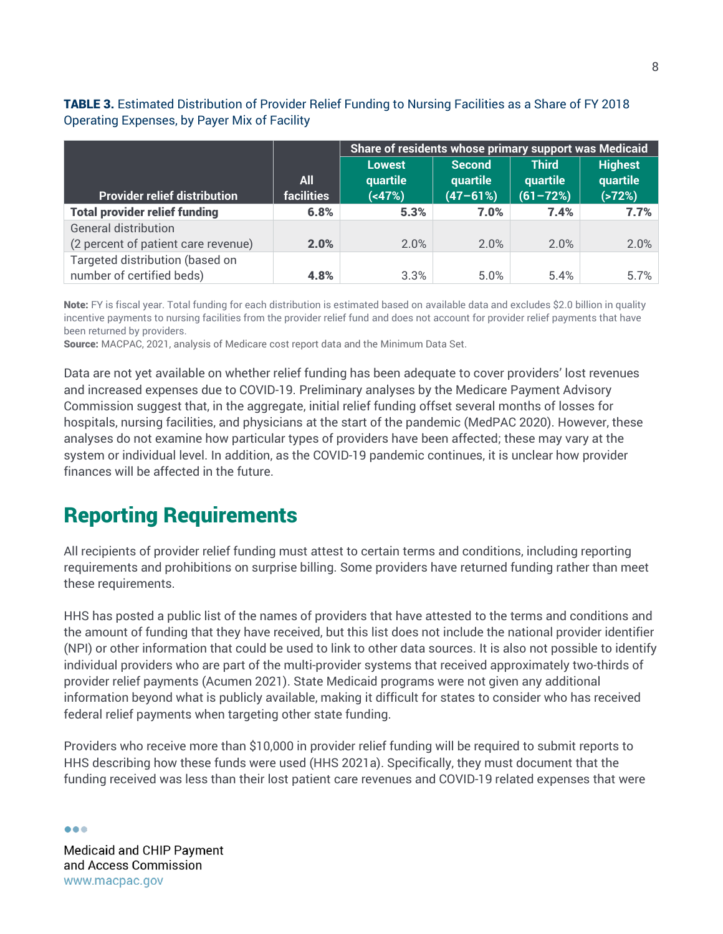TABLE 3. Estimated Distribution of Provider Relief Funding to Nursing Facilities as a Share of FY 2018 Operating Expenses, by Payer Mix of Facility

|                                      |            | Share of residents whose primary support was Medicaid |                           |                          |                            |  |
|--------------------------------------|------------|-------------------------------------------------------|---------------------------|--------------------------|----------------------------|--|
|                                      | All        | <b>Lowest</b><br>quartile                             | <b>Second</b><br>quartile | <b>Third</b><br>quartile | <b>Highest</b><br>quartile |  |
| <b>Provider relief distribution</b>  | facilities | (47%)                                                 | $(47 - 61%)$              | $(61 - 72%)$             | (572%)                     |  |
| <b>Total provider relief funding</b> | 6.8%       | 5.3%                                                  | 7.0%                      | 7.4%                     | 7.7%                       |  |
| <b>General distribution</b>          |            |                                                       |                           |                          |                            |  |
| (2 percent of patient care revenue)  | 2.0%       | 2.0%                                                  | 2.0%                      | 2.0%                     | 2.0%                       |  |
| Targeted distribution (based on      |            |                                                       |                           |                          |                            |  |
| number of certified beds)            | 4.8%       | 3.3%                                                  | 5.0%                      | 5.4%                     | 5.7%                       |  |

Note: FY is fiscal year. Total funding for each distribution is estimated based on available data and excludes \$2.0 billion in quality incentive payments to nursing facilities from the provider relief fund and does not account for provider relief payments that have been returned by providers.

Source: MACPAC, 2021, analysis of Medicare cost report data and the Minimum Data Set.

Data are not yet available on whether relief funding has been adequate to cover providers' lost revenues and increased expenses due to COVID-19. Preliminary analyses by the Medicare Payment Advisory Commission suggest that, in the aggregate, initial relief funding offset several months of losses for hospitals, nursing facilities, and physicians at the start of the pandemic (MedPAC 2020). However, these analyses do not examine how particular types of providers have been affected; these may vary at the system or individual level. In addition, as the COVID-19 pandemic continues, it is unclear how provider finances will be affected in the future.

### Reporting Requirements

All recipients of provider relief funding must attest to certain terms and conditions, including reporting requirements and prohibitions on surprise billing. Some providers have returned funding rather than meet these requirements.

HHS has posted a public list of the names of providers that have attested to the terms and conditions and the amount of funding that they have received, but this list does not include the national provider identifier (NPI) or other information that could be used to link to other data sources. It is also not possible to identify individual providers who are part of the multi-provider systems that received approximately two-thirds of provider relief payments (Acumen 2021). State Medicaid programs were not given any additional information beyond what is publicly available, making it difficult for states to consider who has received federal relief payments when targeting other state funding.

Providers who receive more than \$10,000 in provider relief funding will be required to submit reports to HHS describing how these funds were used (HHS 2021a). Specifically, they must document that the funding received was less than their lost patient care revenues and COVID-19 related expenses that were

 $\bullet\bullet\bullet$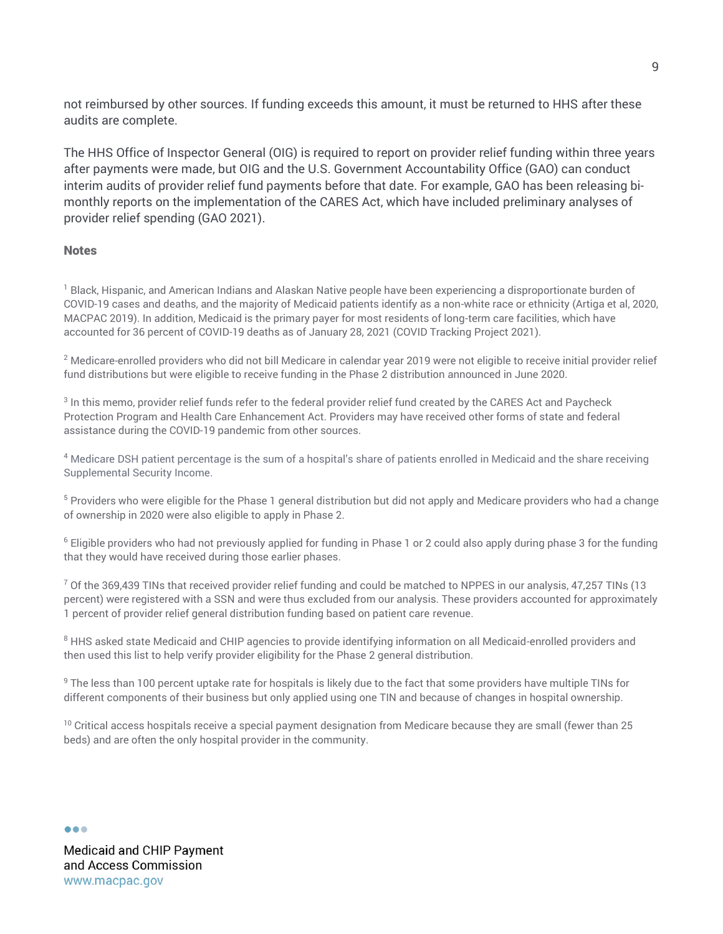not reimbursed by other sources. If funding exceeds this amount, it must be returned to HHS after these audits are complete.

The HHS Office of Inspector General (OIG) is required to report on provider relief funding within three years after payments were made, but OIG and the U.S. Government Accountability Office (GAO) can conduct interim audits of provider relief fund payments before that date. For example, GAO has been releasing bimonthly reports on the implementation of the CARES Act, which have included preliminary analyses of provider relief spending (GAO 2021).

#### **Notes**

<sup>1</sup> Black, Hispanic, and American Indians and Alaskan Native people have been experiencing a disproportionate burden of COVID-19 cases and deaths, and the majority of Medicaid patients identify as a non-white race or ethnicity (Artiga et al, 2020, MACPAC 2019). In addition, Medicaid is the primary payer for most residents of long-term care facilities, which have accounted for 36 percent of COVID-19 deaths as of January 28, 2021 (COVID Tracking Project 2021).

 $2$  Medicare-enrolled providers who did not bill Medicare in calendar year 2019 were not eligible to receive initial provider relief fund distributions but were eligible to receive funding in the Phase 2 distribution announced in June 2020.

<sup>3</sup> In this memo, provider relief funds refer to the federal provider relief fund created by the CARES Act and Paycheck Protection Program and Health Care Enhancement Act. Providers may have received other forms of state and federal assistance during the COVID-19 pandemic from other sources.

<sup>4</sup> Medicare DSH patient percentage is the sum of a hospital's share of patients enrolled in Medicaid and the share receiving Supplemental Security Income.

<sup>5</sup> Providers who were eligible for the Phase 1 general distribution but did not apply and Medicare providers who had a change of ownership in 2020 were also eligible to apply in Phase 2.

 $6$  Eligible providers who had not previously applied for funding in Phase 1 or 2 could also apply during phase 3 for the funding that they would have received during those earlier phases.

 $7$  Of the 369,439 TINs that received provider relief funding and could be matched to NPPES in our analysis, 47,257 TINs (13) percent) were registered with a SSN and were thus excluded from our analysis. These providers accounted for approximately 1 percent of provider relief general distribution funding based on patient care revenue.

<sup>8</sup> HHS asked state Medicaid and CHIP agencies to provide identifying information on all Medicaid-enrolled providers and then used this list to help verify provider eligibility for the Phase 2 general distribution.

<sup>9</sup> The less than 100 percent uptake rate for hospitals is likely due to the fact that some providers have multiple TINs for different components of their business but only applied using one TIN and because of changes in hospital ownership.

 $10$  Critical access hospitals receive a special payment designation from Medicare because they are small (fewer than 25 beds) and are often the only hospital provider in the community.

 $\bullet\bullet\bullet$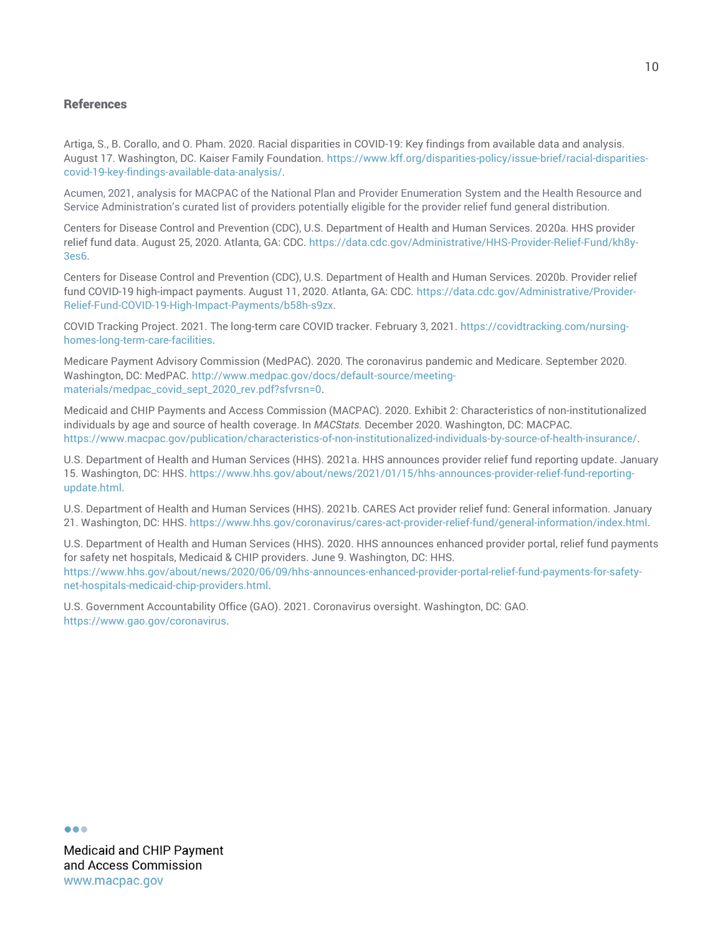#### References

Artiga, S., B. Corallo, and O. Pham. 2020. Racial disparities in COVID-19: Key findings from available data and analysis. August 17. Washington, DC. Kaiser Family Foundation. [https://www.kff.org/disparities-policy/issue-brief/racial-disparities](https://www.kff.org/disparities-policy/issue-brief/racial-disparities-covid-19-key-findings-available-data-analysis/)[covid-19-key-findings-available-data-analysis/.](https://www.kff.org/disparities-policy/issue-brief/racial-disparities-covid-19-key-findings-available-data-analysis/)

Acumen, 2021, analysis for MACPAC of the National Plan and Provider Enumeration System and the Health Resource and Service Administration's curated list of providers potentially eligible for the provider relief fund general distribution.

Centers for Disease Control and Prevention (CDC), U.S. Department of Health and Human Services. 2020a. HHS provider relief fund data. August 25, 2020. Atlanta, GA: CDC. [https://data.cdc.gov/Administrative/HHS-Provider-Relief-Fund/kh8y-](https://data.cdc.gov/Administrative/HHS-Provider-Relief-Fund/kh8y-3es6)[3es6.](https://data.cdc.gov/Administrative/HHS-Provider-Relief-Fund/kh8y-3es6)

Centers for Disease Control and Prevention (CDC), U.S. Department of Health and Human Services. 2020b. Provider relief fund COVID-19 high-impact payments. August 11, 2020. Atlanta, GA: CDC. [https://data.cdc.gov/Administrative/Provider-](https://data.cdc.gov/Administrative/Provider-Relief-Fund-COVID-19-High-Impact-Payments/b58h-s9zx)[Relief-Fund-COVID-19-High-Impact-Payments/b58h-s9zx.](https://data.cdc.gov/Administrative/Provider-Relief-Fund-COVID-19-High-Impact-Payments/b58h-s9zx)

COVID Tracking Project. 2021. The long-term care COVID tracker. February 3, 2021. [https://covidtracking.com/nursing](https://covidtracking.com/nursing-homes-long-term-care-facilities)[homes-long-term-care-facilities.](https://covidtracking.com/nursing-homes-long-term-care-facilities)

Medicare Payment Advisory Commission (MedPAC). 2020. The coronavirus pandemic and Medicare. September 2020. Washington, DC: MedPAC[. http://www.medpac.gov/docs/default-source/meeting](http://www.medpac.gov/docs/default-source/meeting-materials/medpac_covid_sept_2020_rev.pdf?sfvrsn=0)[materials/medpac\\_covid\\_sept\\_2020\\_rev.pdf?sfvrsn=0.](http://www.medpac.gov/docs/default-source/meeting-materials/medpac_covid_sept_2020_rev.pdf?sfvrsn=0)

Medicaid and CHIP Payments and Access Commission (MACPAC). 2020. Exhibit 2: Characteristics of non-institutionalized individuals by age and source of health coverage. In *MACStats.* December 2020. Washington, DC: MACPAC. [https://www.macpac.gov/publication/characteristics-of-non-institutionalized-individuals-by-source-of-health-insurance/.](https://www.macpac.gov/publication/characteristics-of-non-institutionalized-individuals-by-source-of-health-insurance/)

U.S. Department of Health and Human Services (HHS). 2021a. HHS announces provider relief fund reporting update. January 15. Washington, DC: HHS[. https://www.hhs.gov/about/news/2021/01/15/hhs-announces-provider-relief-fund-reporting](https://www.hhs.gov/about/news/2021/01/15/hhs-announces-provider-relief-fund-reporting-update.html)[update.html.](https://www.hhs.gov/about/news/2021/01/15/hhs-announces-provider-relief-fund-reporting-update.html)

U.S. Department of Health and Human Services (HHS). 2021b. CARES Act provider relief fund: General information. January 21. Washington, DC: HHS[. https://www.hhs.gov/coronavirus/cares-act-provider-relief-fund/general-information/index.html.](https://www.hhs.gov/coronavirus/cares-act-provider-relief-fund/general-information/index.html)

U.S. Department of Health and Human Services (HHS). 2020. HHS announces enhanced provider portal, relief fund payments for safety net hospitals, Medicaid & CHIP providers. June 9. Washington, DC: HHS. [https://www.hhs.gov/about/news/2020/06/09/hhs-announces-enhanced-provider-portal-relief-fund-payments-for-safety-](https://www.hhs.gov/about/news/2020/06/09/hhs-announces-enhanced-provider-portal-relief-fund-payments-for-safety-net-hospitals-medicaid-chip-providers.html)

[net-hospitals-medicaid-chip-providers.html.](https://www.hhs.gov/about/news/2020/06/09/hhs-announces-enhanced-provider-portal-relief-fund-payments-for-safety-net-hospitals-medicaid-chip-providers.html)

U.S. Government Accountability Office (GAO). 2021. Coronavirus oversight. Washington, DC: GAO. [https://www.gao.gov/coronavirus.](https://www.gao.gov/coronavirus)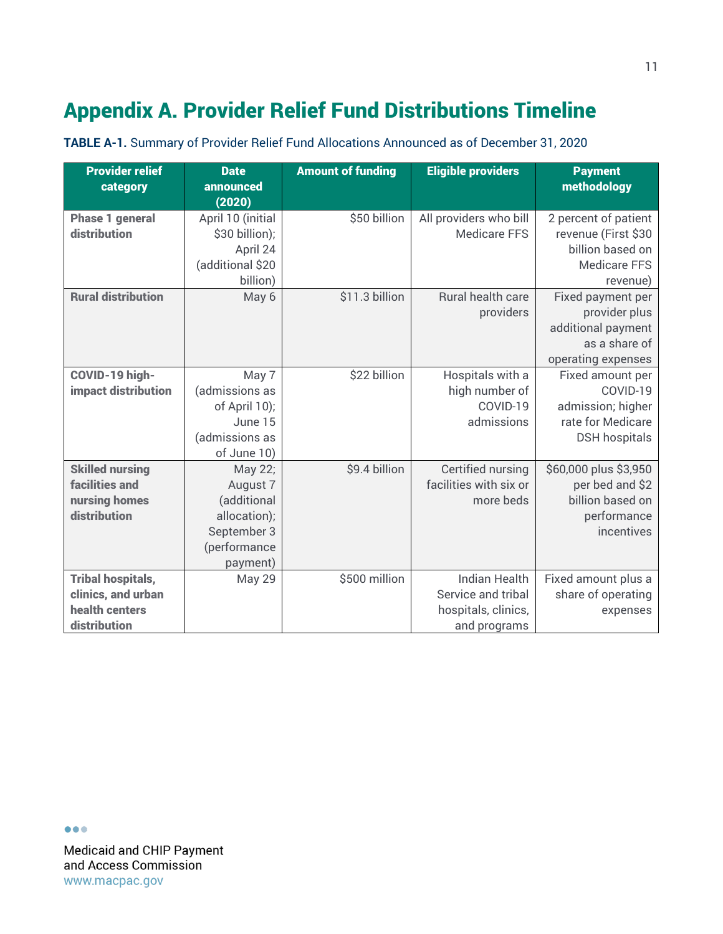# Appendix A. Provider Relief Fund Distributions Timeline

| <b>Provider relief</b><br>category | <b>Date</b><br>announced | <b>Amount of funding</b> | <b>Eligible providers</b> | <b>Payment</b><br>methodology |
|------------------------------------|--------------------------|--------------------------|---------------------------|-------------------------------|
|                                    | (2020)                   |                          |                           |                               |
| <b>Phase 1 general</b>             | April 10 (initial        | \$50 billion             | All providers who bill    | 2 percent of patient          |
| distribution                       | \$30 billion);           |                          | <b>Medicare FFS</b>       | revenue (First \$30           |
|                                    | April 24                 |                          |                           | billion based on              |
|                                    | (additional \$20         |                          |                           | <b>Medicare FFS</b>           |
|                                    | billion)                 |                          |                           | revenue)                      |
| <b>Rural distribution</b>          | May 6                    | \$11.3 billion           | Rural health care         | Fixed payment per             |
|                                    |                          |                          | providers                 | provider plus                 |
|                                    |                          |                          |                           | additional payment            |
|                                    |                          |                          |                           | as a share of                 |
|                                    |                          |                          |                           | operating expenses            |
| COVID-19 high-                     | May 7                    | \$22 billion             | Hospitals with a          | Fixed amount per              |
| impact distribution                | (admissions as           |                          | high number of            | COVID-19                      |
|                                    | of April 10);            |                          | COVID-19                  | admission; higher             |
|                                    | June 15                  |                          | admissions                | rate for Medicare             |
|                                    | (admissions as           |                          |                           | <b>DSH</b> hospitals          |
|                                    | of June 10)              |                          |                           |                               |
| <b>Skilled nursing</b>             | May 22;                  | \$9.4 billion            | Certified nursing         | \$60,000 plus \$3,950         |
| <b>facilities and</b>              | August 7                 |                          | facilities with six or    | per bed and \$2               |
| nursing homes                      | (additional              |                          | more beds                 | billion based on              |
| distribution                       | allocation);             |                          |                           | performance                   |
|                                    | September 3              |                          |                           | incentives                    |
|                                    | (performance             |                          |                           |                               |
|                                    | payment)                 |                          |                           |                               |
| <b>Tribal hospitals,</b>           | <b>May 29</b>            | \$500 million            | <b>Indian Health</b>      | Fixed amount plus a           |
| clinics, and urban                 |                          |                          | Service and tribal        | share of operating            |
| health centers                     |                          |                          | hospitals, clinics,       | expenses                      |
| distribution                       |                          |                          | and programs              |                               |

**TABLE A-1.** Summary of Provider Relief Fund Allocations Announced as of December 31, 2020

 $\bullet\bullet\bullet$